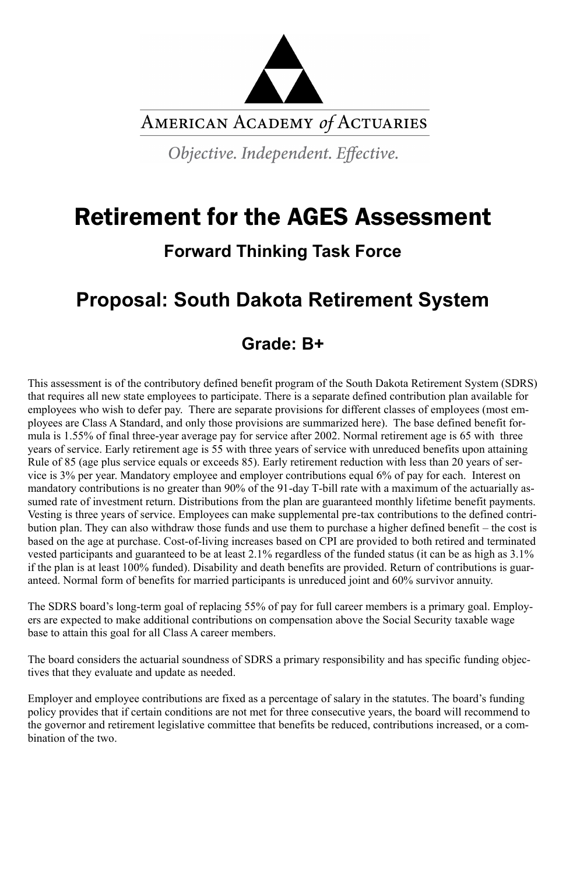

AMERICAN ACADEMY of ACTUARIES

Objective. Independent. Effective.

# Retirement for the AGES Assessment

## **Forward Thinking Task Force**

# **Proposal: South Dakota Retirement System**

## **Grade: B+**

This assessment is of the contributory defined benefit program of the South Dakota Retirement System (SDRS) that requires all new state employees to participate. There is a separate defined contribution plan available for employees who wish to defer pay. There are separate provisions for different classes of employees (most employees are Class A Standard, and only those provisions are summarized here). The base defined benefit formula is 1.55% of final three-year average pay for service after 2002. Normal retirement age is 65 with three years of service. Early retirement age is 55 with three years of service with unreduced benefits upon attaining Rule of 85 (age plus service equals or exceeds 85). Early retirement reduction with less than 20 years of service is 3% per year. Mandatory employee and employer contributions equal 6% of pay for each. Interest on mandatory contributions is no greater than 90% of the 91-day T-bill rate with a maximum of the actuarially assumed rate of investment return. Distributions from the plan are guaranteed monthly lifetime benefit payments. Vesting is three years of service. Employees can make supplemental pre-tax contributions to the defined contribution plan. They can also withdraw those funds and use them to purchase a higher defined benefit – the cost is based on the age at purchase. Cost-of-living increases based on CPI are provided to both retired and terminated vested participants and guaranteed to be at least 2.1% regardless of the funded status (it can be as high as 3.1% if the plan is at least 100% funded). Disability and death benefits are provided. Return of contributions is guaranteed. Normal form of benefits for married participants is unreduced joint and 60% survivor annuity.

The SDRS board's long-term goal of replacing 55% of pay for full career members is a primary goal. Employers are expected to make additional contributions on compensation above the Social Security taxable wage base to attain this goal for all Class A career members.

The board considers the actuarial soundness of SDRS a primary responsibility and has specific funding objectives that they evaluate and update as needed.

Employer and employee contributions are fixed as a percentage of salary in the statutes. The board's funding policy provides that if certain conditions are not met for three consecutive years, the board will recommend to the governor and retirement legislative committee that benefits be reduced, contributions increased, or a combination of the two.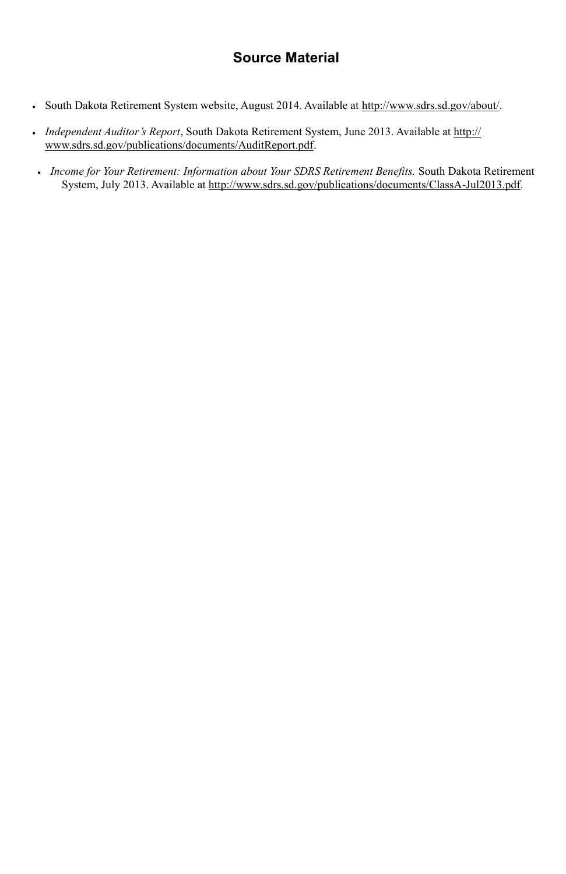### **Source Material**

- South Dakota Retirement System website, August 2014. Available at [http://www.sdrs.sd.gov/about/.](http://ww.sdrs.sd.gov/about/)
- *Independent Auditor's Report*, South Dakota Retirement System, June 2013. Available at [http://](http://www.sdrs.sd.gov/publications/documents/AuditReport.pdf) [www.sdrs.sd.gov/publications/documents/AuditReport.pdf.](http://www.sdrs.sd.gov/publications/documents/AuditReport.pdf)
- *Income for Your Retirement: Information about Your SDRS Retirement Benefits.* South Dakota Retirement System, July 2013. Available at [http://www.sdrs.sd.gov/publications/documents/ClassA](http://www.sdrs.sd.gov/publications/documents/ClassA-Jul2013.pdf)-Jul2013.pdf.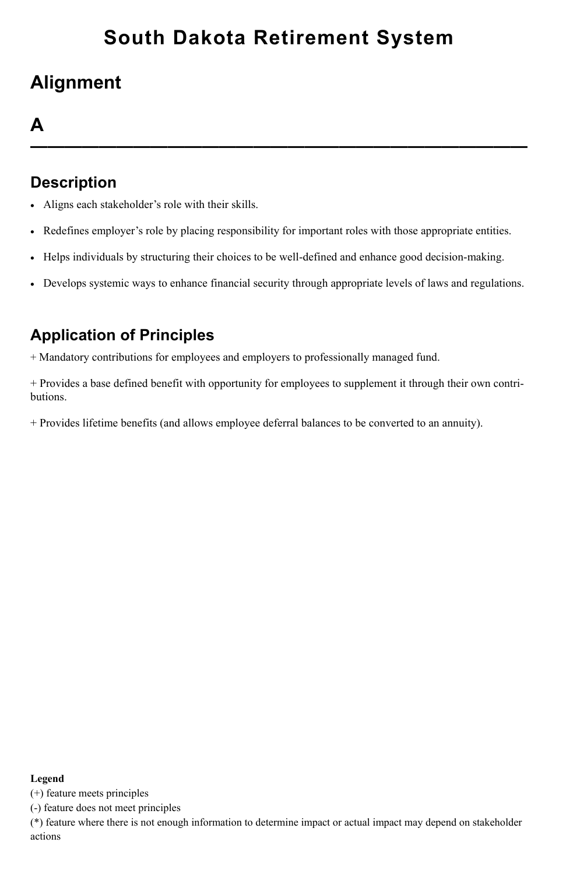## **Alignment**

## **A**

**—————————————————————————————**

### **Description**

- Aligns each stakeholder's role with their skills.
- Redefines employer's role by placing responsibility for important roles with those appropriate entities.
- Helps individuals by structuring their choices to be well-defined and enhance good decision-making.
- Develops systemic ways to enhance financial security through appropriate levels of laws and regulations.

### **Application of Principles**

+ Mandatory contributions for employees and employers to professionally managed fund.

+ Provides a base defined benefit with opportunity for employees to supplement it through their own contributions.

+ Provides lifetime benefits (and allows employee deferral balances to be converted to an annuity).

#### **Legend**

(+) feature meets principles

(-) feature does not meet principles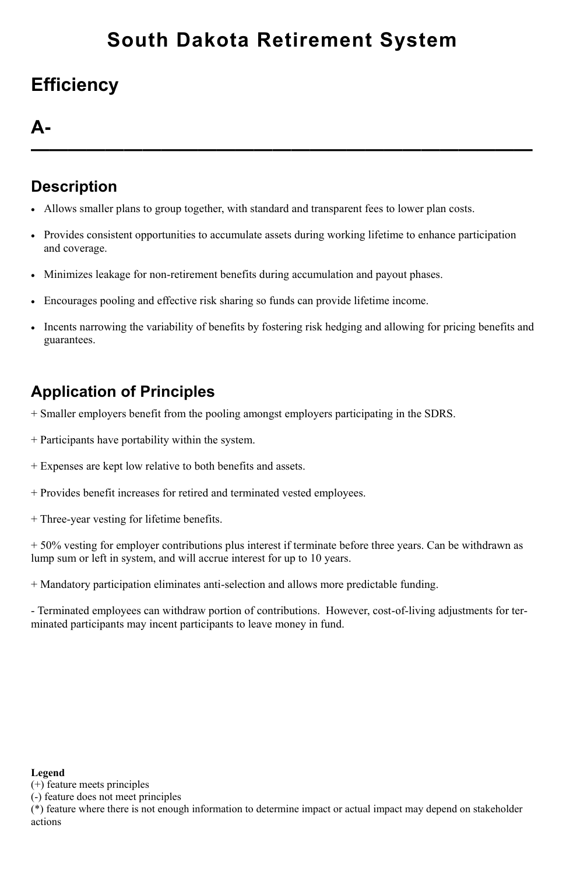# **Efficiency**

### **A-**

**———————————————————————————**

### **Description**

- Allows smaller plans to group together, with standard and transparent fees to lower plan costs.
- Provides consistent opportunities to accumulate assets during working lifetime to enhance participation and coverage.
- Minimizes leakage for non-retirement benefits during accumulation and payout phases.
- Encourages pooling and effective risk sharing so funds can provide lifetime income.
- Incents narrowing the variability of benefits by fostering risk hedging and allowing for pricing benefits and guarantees.

## **Application of Principles**

- + Smaller employers benefit from the pooling amongst employers participating in the SDRS.
- + Participants have portability within the system.
- + Expenses are kept low relative to both benefits and assets.
- + Provides benefit increases for retired and terminated vested employees.
- + Three-year vesting for lifetime benefits.

+ 50% vesting for employer contributions plus interest if terminate before three years. Can be withdrawn as lump sum or left in system, and will accrue interest for up to 10 years.

+ Mandatory participation eliminates anti-selection and allows more predictable funding.

- Terminated employees can withdraw portion of contributions. However, cost-of-living adjustments for terminated participants may incent participants to leave money in fund.

#### **Legend**

(+) feature meets principles

(-) feature does not meet principles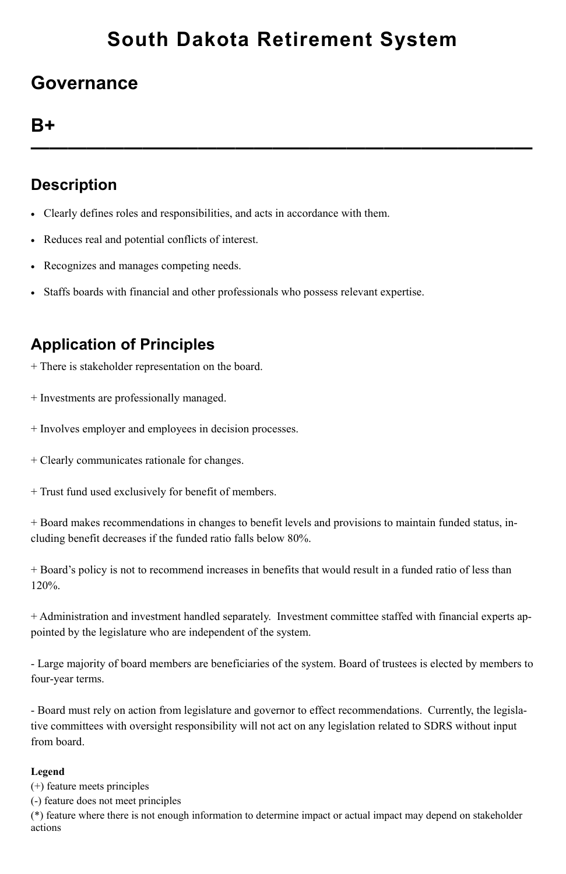## **Governance**

## **B+**

**———————————————————————————**

### **Description**

- Clearly defines roles and responsibilities, and acts in accordance with them.
- Reduces real and potential conflicts of interest.
- Recognizes and manages competing needs.
- Staffs boards with financial and other professionals who possess relevant expertise.

## **Application of Principles**

- + There is stakeholder representation on the board.
- + Investments are professionally managed.
- + Involves employer and employees in decision processes.
- + Clearly communicates rationale for changes.
- + Trust fund used exclusively for benefit of members.

+ Board makes recommendations in changes to benefit levels and provisions to maintain funded status, including benefit decreases if the funded ratio falls below 80%.

+ Board's policy is not to recommend increases in benefits that would result in a funded ratio of less than 120%.

+ Administration and investment handled separately. Investment committee staffed with financial experts appointed by the legislature who are independent of the system.

- Large majority of board members are beneficiaries of the system. Board of trustees is elected by members to four-year terms.

- Board must rely on action from legislature and governor to effect recommendations. Currently, the legislative committees with oversight responsibility will not act on any legislation related to SDRS without input from board.

#### **Legend**

(+) feature meets principles

(-) feature does not meet principles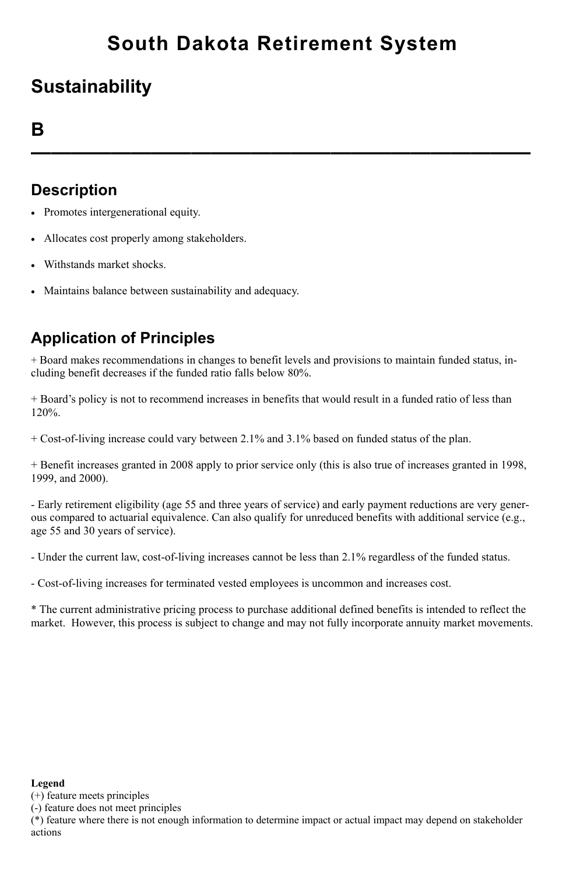## **Sustainability**

### **B**

**—————————————————————————**

### **Description**

- Promotes intergenerational equity.
- Allocates cost properly among stakeholders.
- Withstands market shocks.
- Maintains balance between sustainability and adequacy.

## **Application of Principles**

+ Board makes recommendations in changes to benefit levels and provisions to maintain funded status, including benefit decreases if the funded ratio falls below 80%.

+ Board's policy is not to recommend increases in benefits that would result in a funded ratio of less than 120%.

+ Cost-of-living increase could vary between 2.1% and 3.1% based on funded status of the plan.

+ Benefit increases granted in 2008 apply to prior service only (this is also true of increases granted in 1998, 1999, and 2000).

- Early retirement eligibility (age 55 and three years of service) and early payment reductions are very generous compared to actuarial equivalence. Can also qualify for unreduced benefits with additional service (e.g., age 55 and 30 years of service).

- Under the current law, cost-of-living increases cannot be less than 2.1% regardless of the funded status.

- Cost-of-living increases for terminated vested employees is uncommon and increases cost.

\* The current administrative pricing process to purchase additional defined benefits is intended to reflect the market. However, this process is subject to change and may not fully incorporate annuity market movements.

#### **Legend**

(+) feature meets principles

(-) feature does not meet principles